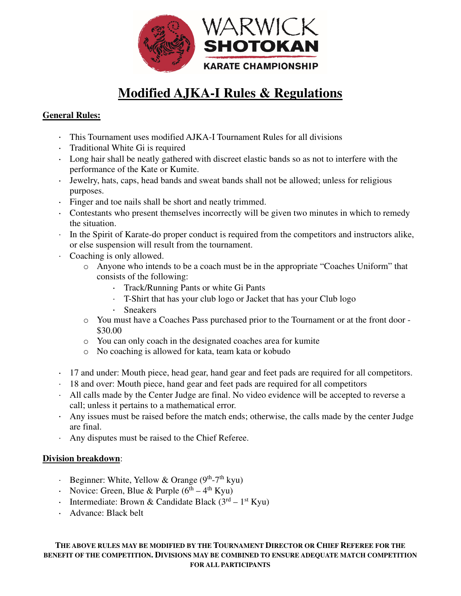

# **Modified AJKA-I Rules & Regulations**

### **General Rules:**

- This Tournament uses modified AJKA-I Tournament Rules for all divisions
- Traditional White Gi is required
- Long hair shall be neatly gathered with discreet elastic bands so as not to interfere with the performance of the Kate or Kumite.
- Jewelry, hats, caps, head bands and sweat bands shall not be allowed; unless for religious purposes.
- Finger and toe nails shall be short and neatly trimmed.
- Contestants who present themselves incorrectly will be given two minutes in which to remedy the situation.
- In the Spirit of Karate-do proper conduct is required from the competitors and instructors alike, or else suspension will result from the tournament.
- Coaching is only allowed.
	- o Anyone who intends to be a coach must be in the appropriate "Coaches Uniform" that consists of the following:
		- Track/Running Pants or white Gi Pants
		- T-Shirt that has your club logo or Jacket that has your Club logo
		- Sneakers
	- o You must have a Coaches Pass purchased prior to the Tournament or at the front door \$30.00
	- o You can only coach in the designated coaches area for kumite
	- o No coaching is allowed for kata, team kata or kobudo
- 17 and under: Mouth piece, head gear, hand gear and feet pads are required for all competitors.
- 18 and over: Mouth piece, hand gear and feet pads are required for all competitors
- All calls made by the Center Judge are final. No video evidence will be accepted to reverse a call; unless it pertains to a mathematical error.
- Any issues must be raised before the match ends; otherwise, the calls made by the center Judge are final.
- Any disputes must be raised to the Chief Referee.

#### **Division breakdown**:

- Beginner: White, Yellow & Orange  $(9<sup>th</sup>-7<sup>th</sup>$  kyu)
- Novice: Green, Blue & Purple  $(6^{th} 4^{th} Kyu)$
- Intermediate: Brown & Candidate Black  $(3<sup>rd</sup> 1<sup>st</sup> Kyu)$
- Advance: Black belt

#### **THE ABOVE RULES MAY BE MODIFIED BY THE TOURNAMENT DIRECTOR OR CHIEF REFEREE FOR THE BENEFIT OF THE COMPETITION. DIVISIONS MAY BE COMBINED TO ENSURE ADEQUATE MATCH COMPETITION FOR ALL PARTICIPANTS**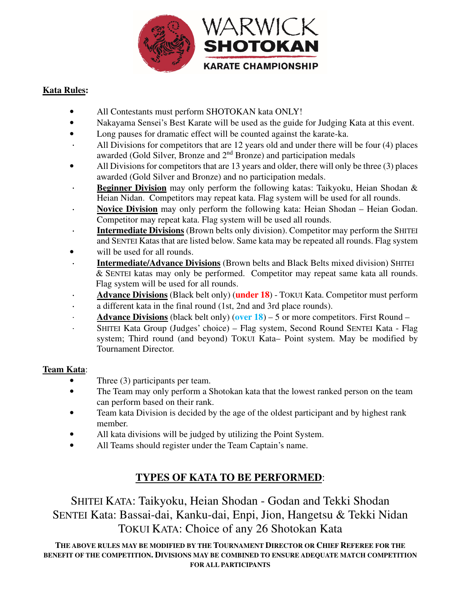

### **Kata Rules:**

- All Contestants must perform SHOTOKAN kata ONLY!
- Nakayama Sensei's Best Karate will be used as the guide for Judging Kata at this event.
- Long pauses for dramatic effect will be counted against the karate-ka.
- All Divisions for competitors that are 12 years old and under there will be four (4) places awarded (Gold Silver, Bronze and 2nd Bronze) and participation medals
- All Divisions for competitors that are 13 years and older, there will only be three (3) places awarded (Gold Silver and Bronze) and no participation medals.
- **Beginner Division** may only perform the following katas: Taikyoku, Heian Shodan & Heian Nidan. Competitors may repeat kata. Flag system will be used for all rounds.
- **Novice Division** may only perform the following kata: Heian Shodan Heian Godan. Competitor may repeat kata. Flag system will be used all rounds.
- **Intermediate Divisions** (Brown belts only division). Competitor may perform the SHITEI and SENTEI Katas that are listed below. Same kata may be repeated all rounds. Flag system
- will be used for all rounds.
- **Intermediate/Advance Divisions** (Brown belts and Black Belts mixed division) SHITEI & SENTEI katas may only be performed. Competitor may repeat same kata all rounds. Flag system will be used for all rounds.
- **Advance Divisions** (Black belt only) (**under 18**) TOKUI Kata. Competitor must perform a different kata in the final round (1st, 2nd and 3rd place rounds).
- **Advance Divisions** (black belt only) (**over 18**) 5 or more competitors. First Round –
- SHITEI Kata Group (Judges' choice) Flag system, Second Round SENTEI Kata Flag system; Third round (and beyond) TOKUI Kata– Point system. May be modified by Tournament Director.

#### **Team Kata**:

- Three (3) participants per team.
- The Team may only perform a Shotokan kata that the lowest ranked person on the team can perform based on their rank.
- Team kata Division is decided by the age of the oldest participant and by highest rank member.
- All kata divisions will be judged by utilizing the Point System.
- All Teams should register under the Team Captain's name.

## **TYPES OF KATA TO BE PERFORMED**:

SHITEI KATA: Taikyoku, Heian Shodan - Godan and Tekki Shodan SENTEI Kata: Bassai-dai, Kanku-dai, Enpi, Jion, Hangetsu & Tekki Nidan TOKUI KATA: Choice of any 26 Shotokan Kata

**THE ABOVE RULES MAY BE MODIFIED BY THE TOURNAMENT DIRECTOR OR CHIEF REFEREE FOR THE BENEFIT OF THE COMPETITION. DIVISIONS MAY BE COMBINED TO ENSURE ADEQUATE MATCH COMPETITION FOR ALL PARTICIPANTS**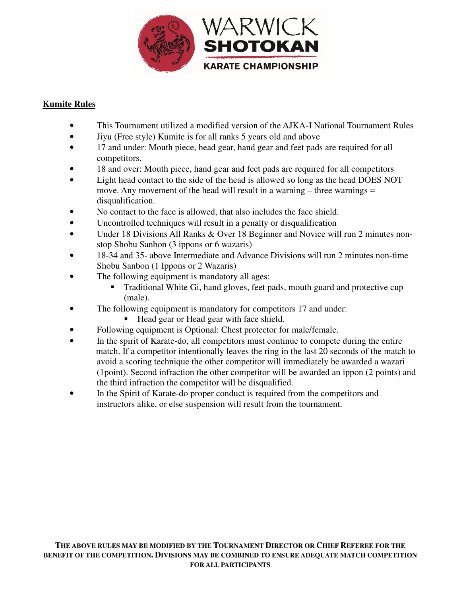

#### **Kumite Rules**

- This Tournament utilized a modified version of the AJKA-I National Tournament Rules
- Jiyu (Free style) Kumite is for all ranks 5 years old and above
- 17 and under: Mouth piece, head gear, hand gear and feet pads are required for all competitors.
- 18 and over: Mouth piece, hand gear and feet pads are required for all competitors
- Light head contact to the side of the head is allowed so long as the head DOES NOT move. Any movement of the head will result in a warning – three warnings = disqualification.
- No contact to the face is allowed, that also includes the face shield.
- Uncontrolled techniques will result in a penalty or disqualification
- Under 18 Divisions All Ranks & Over 18 Beginner and Novice will run 2 minutes nonstop Shobu Sanbon (3 ippons or 6 wazaris)
- 18-34 and 35- above Intermediate and Advance Divisions will run 2 minutes non-time Shobu Sanbon (1 Ippons or 2 Wazaris)
- The following equipment is mandatory all ages:
	- Traditional White Gi, hand gloves, feet pads, mouth guard and protective cup (male).
- The following equipment is mandatory for competitors 17 and under:
	- Head gear or Head gear with face shield.
- Following equipment is Optional: Chest protector for male/female.
- In the spirit of Karate-do, all competitors must continue to compete during the entire match. If a competitor intentionally leaves the ring in the last 20 seconds of the match to avoid a scoring technique the other competitor will immediately be awarded a wazari (1point). Second infraction the other competitor will be awarded an ippon (2 points) and the third infraction the competitor will be disqualified.
- In the Spirit of Karate-do proper conduct is required from the competitors and instructors alike, or else suspension will result from the tournament.